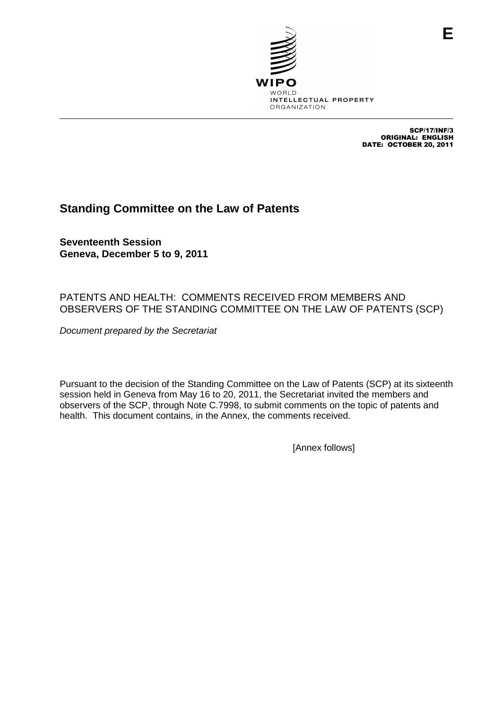

SCP/17/INF/3 ORIGINAL: ENGLISH DATE: OCTOBER 20, 2011

**E**

# **Standing Committee on the Law of Patents**

**Seventeenth Session Geneva, December 5 to 9, 2011**

## PATENTS AND HEALTH: COMMENTS RECEIVED FROM MEMBERS AND OBSERVERS OF THE STANDING COMMITTEE ON THE LAW OF PATENTS (SCP)

Document prepared by the Secretariat

Pursuant to the decision of the Standing Committee on the Law of Patents (SCP) at its sixteenth session held in Geneva from May 16 to 20, 2011, the Secretariat invited the members and observers of the SCP, through Note C.7998, to submit comments on the topic of patents and health. This document contains, in the Annex, the comments received.

[Annex follows]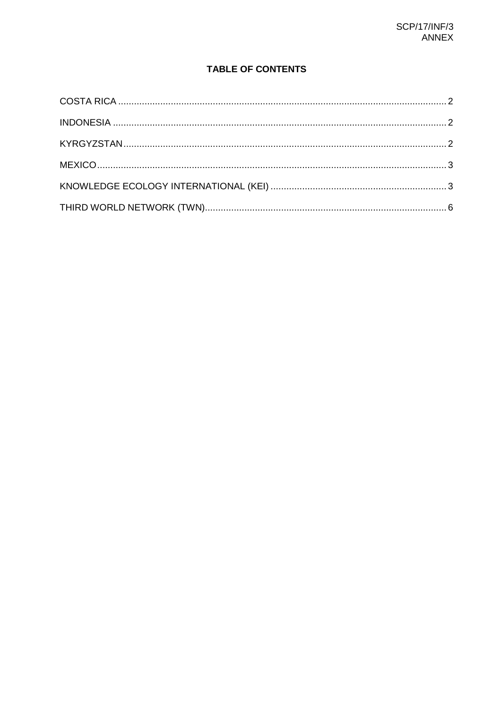## **TABLE OF CONTENTS**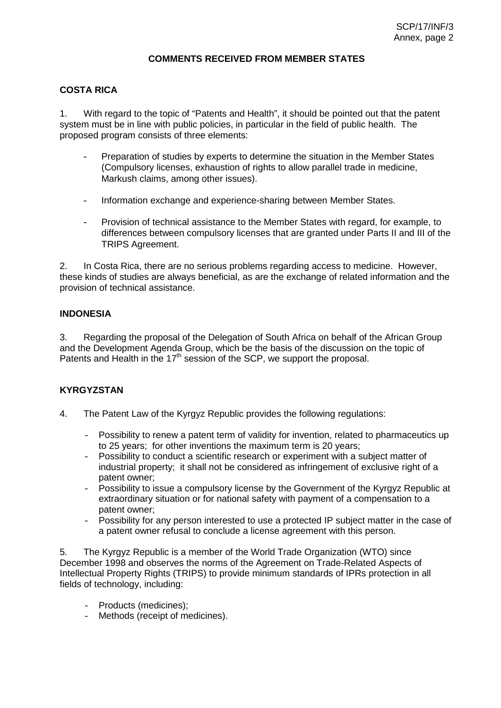#### **COMMENTS RECEIVED FROM MEMBER STATES**

#### **COSTA RICA**

1. With regard to the topic of "Patents and Health", it should be pointed out that the patent system must be in line with public policies, in particular in the field of public health. The proposed program consists of three elements:

- Preparation of studies by experts to determine the situation in the Member States (Compulsory licenses, exhaustion of rights to allow parallel trade in medicine, Markush claims, among other issues).
- Information exchange and experience-sharing between Member States.
- Provision of technical assistance to the Member States with regard, for example, to differences between compulsory licenses that are granted under Parts II and III of the TRIPS Agreement.

2. In Costa Rica, there are no serious problems regarding access to medicine. However, these kinds of studies are always beneficial, as are the exchange of related information and the provision of technical assistance.

#### **INDONESIA**

3. Regarding the proposal of the Delegation of South Africa on behalf of the African Group and the Development Agenda Group, which be the basis of the discussion on the topic of Patents and Health in the 17<sup>th</sup> session of the SCP, we support the proposal.

#### **KYRGYZSTAN**

- 4. The Patent Law of the Kyrgyz Republic provides the following regulations:
	- Possibility to renew a patent term of validity for invention, related to pharmaceutics up to 25 years; for other inventions the maximum term is 20 years;
	- Possibility to conduct a scientific research or experiment with a subject matter of industrial property; it shall not be considered as infringement of exclusive right of a patent owner;
	- Possibility to issue a compulsory license by the Government of the Kyrgyz Republic at extraordinary situation or for national safety with payment of a compensation to a patent owner;
	- Possibility for any person interested to use a protected IP subject matter in the case of a patent owner refusal to conclude a license agreement with this person.

5. The Kyrgyz Republic is a member of the World Trade Organization (WTO) since December 1998 and observes the norms of the Agreement on Trade-Related Aspects of Intellectual Property Rights (TRIPS) to provide minimum standards of IPRs protection in all fields of technology, including:

- Products (medicines);
- Methods (receipt of medicines).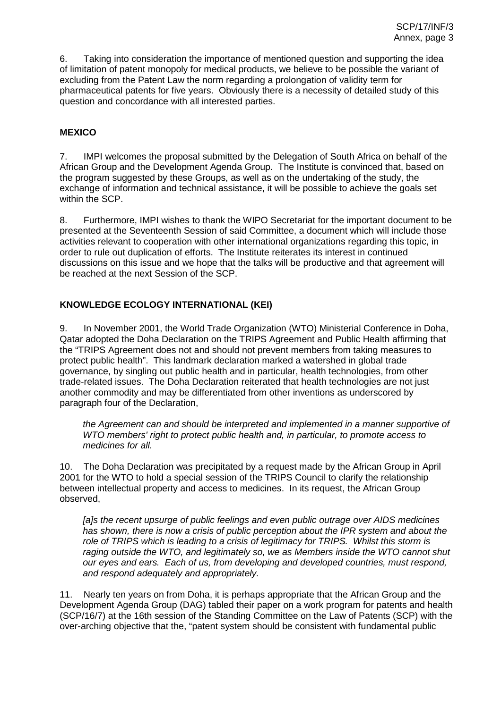6. Taking into consideration the importance of mentioned question and supporting the idea of limitation of patent monopoly for medical products, we believe to be possible the variant of excluding from the Patent Law the norm regarding a prolongation of validity term for pharmaceutical patents for five years. Obviously there is a necessity of detailed study of this question and concordance with all interested parties.

### **MEXICO**

7. IMPI welcomes the proposal submitted by the Delegation of South Africa on behalf of the African Group and the Development Agenda Group. The Institute is convinced that, based on the program suggested by these Groups, as well as on the undertaking of the study, the exchange of information and technical assistance, it will be possible to achieve the goals set within the SCP.

8. Furthermore, IMPI wishes to thank the WIPO Secretariat for the important document to be presented at the Seventeenth Session of said Committee, a document which will include those activities relevant to cooperation with other international organizations regarding this topic, in order to rule out duplication of efforts. The Institute reiterates its interest in continued discussions on this issue and we hope that the talks will be productive and that agreement will be reached at the next Session of the SCP.

## **KNOWLEDGE ECOLOGY INTERNATIONAL (KEI)**

9. In November 2001, the World Trade Organization (WTO) Ministerial Conference in Doha, Qatar adopted the Doha Declaration on the TRIPS Agreement and Public Health affirming that the "TRIPS Agreement does not and should not prevent members from taking measures to protect public health". This landmark declaration marked a watershed in global trade governance, by singling out public health and in particular, health technologies, from other trade-related issues. The Doha Declaration reiterated that health technologies are not just another commodity and may be differentiated from other inventions as underscored by paragraph four of the Declaration,

the Agreement can and should be interpreted and implemented in a manner supportive of WTO members' right to protect public health and, in particular, to promote access to medicines for all.

10. The Doha Declaration was precipitated by a request made by the African Group in April 2001 for the WTO to hold a special session of the TRIPS Council to clarify the relationship between intellectual property and access to medicines. In its request, the African Group observed,

[a]s the recent upsurge of public feelings and even public outrage over AIDS medicines has shown, there is now a crisis of public perception about the IPR system and about the role of TRIPS which is leading to a crisis of legitimacy for TRIPS. Whilst this storm is raging outside the WTO, and legitimately so, we as Members inside the WTO cannot shut our eyes and ears. Each of us, from developing and developed countries, must respond, and respond adequately and appropriately.

11. Nearly ten years on from Doha, it is perhaps appropriate that the African Group and the Development Agenda Group (DAG) tabled their paper on a work program for patents and health (SCP/16/7) at the 16th session of the Standing Committee on the Law of Patents (SCP) with the over-arching objective that the, "patent system should be consistent with fundamental public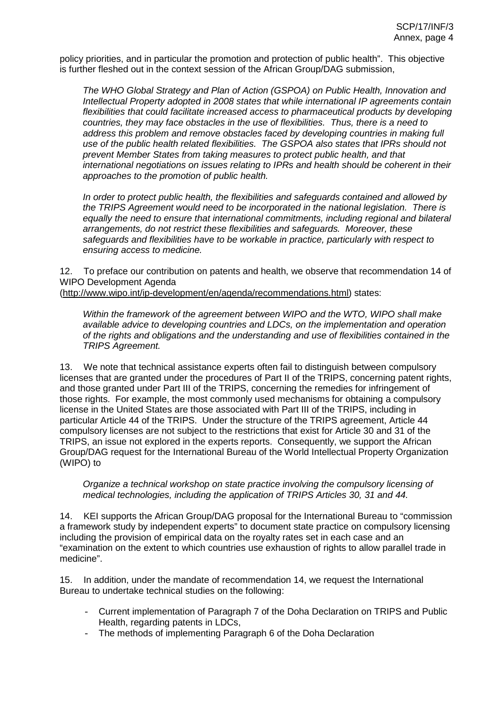policy priorities, and in particular the promotion and protection of public health". This objective is further fleshed out in the context session of the African Group/DAG submission,

The WHO Global Strategy and Plan of Action (GSPOA) on Public Health, Innovation and Intellectual Property adopted in 2008 states that while international IP agreements contain flexibilities that could facilitate increased access to pharmaceutical products by developing countries, they may face obstacles in the use of flexibilities. Thus, there is a need to address this problem and remove obstacles faced by developing countries in making full use of the public health related flexibilities. The GSPOA also states that IPRs should not prevent Member States from taking measures to protect public health, and that international negotiations on issues relating to IPRs and health should be coherent in their approaches to the promotion of public health.

In order to protect public health, the flexibilities and safeguards contained and allowed by the TRIPS Agreement would need to be incorporated in the national legislation. There is equally the need to ensure that international commitments, including regional and bilateral arrangements, do not restrict these flexibilities and safeguards. Moreover, these safeguards and flexibilities have to be workable in practice, particularly with respect to ensuring access to medicine.

12. To preface our contribution on patents and health, we observe that recommendation 14 of WIPO Development Agenda

(http://www.wipo.int/ip-development/en/agenda/recommendations.html) states:

Within the framework of the agreement between WIPO and the WTO, WIPO shall make available advice to developing countries and LDCs, on the implementation and operation of the rights and obligations and the understanding and use of flexibilities contained in the TRIPS Agreement.

13. We note that technical assistance experts often fail to distinguish between compulsory licenses that are granted under the procedures of Part II of the TRIPS, concerning patent rights, and those granted under Part III of the TRIPS, concerning the remedies for infringement of those rights. For example, the most commonly used mechanisms for obtaining a compulsory license in the United States are those associated with Part III of the TRIPS, including in particular Article 44 of the TRIPS. Under the structure of the TRIPS agreement, Article 44 compulsory licenses are not subject to the restrictions that exist for Article 30 and 31 of the TRIPS, an issue not explored in the experts reports. Consequently, we support the African Group/DAG request for the International Bureau of the World Intellectual Property Organization (WIPO) to

Organize a technical workshop on state practice involving the compulsory licensing of medical technologies, including the application of TRIPS Articles 30, 31 and 44.

14. KEI supports the African Group/DAG proposal for the International Bureau to "commission a framework study by independent experts" to document state practice on compulsory licensing including the provision of empirical data on the royalty rates set in each case and an "examination on the extent to which countries use exhaustion of rights to allow parallel trade in medicine".

15. In addition, under the mandate of recommendation 14, we request the International Bureau to undertake technical studies on the following:

- Current implementation of Paragraph 7 of the Doha Declaration on TRIPS and Public Health, regarding patents in LDCs,
- The methods of implementing Paragraph 6 of the Doha Declaration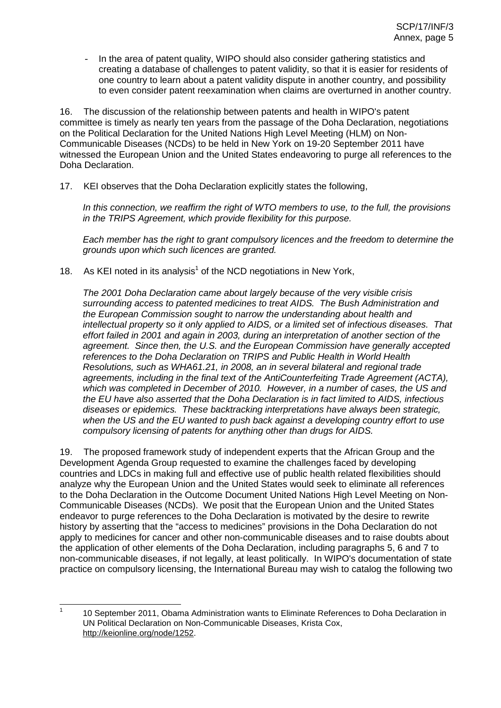In the area of patent quality, WIPO should also consider gathering statistics and creating a database of challenges to patent validity, so that it is easier for residents of one country to learn about a patent validity dispute in another country, and possibility to even consider patent reexamination when claims are overturned in another country.

16. The discussion of the relationship between patents and health in WIPO's patent committee is timely as nearly ten years from the passage of the Doha Declaration, negotiations on the Political Declaration for the United Nations High Level Meeting (HLM) on Non-Communicable Diseases (NCDs) to be held in New York on 19-20 September 2011 have witnessed the European Union and the United States endeavoring to purge all references to the Doha Declaration.

17. KEI observes that the Doha Declaration explicitly states the following,

In this connection, we reaffirm the right of WTO members to use, to the full, the provisions in the TRIPS Agreement, which provide flexibility for this purpose.

Each member has the right to grant compulsory licences and the freedom to determine the grounds upon which such licences are granted.

18. As KEI noted in its analysis<sup>1</sup> of the NCD negotiations in New York,

The 2001 Doha Declaration came about largely because of the very visible crisis surrounding access to patented medicines to treat AIDS. The Bush Administration and the European Commission sought to narrow the understanding about health and intellectual property so it only applied to AIDS, or a limited set of infectious diseases. That effort failed in 2001 and again in 2003, during an interpretation of another section of the agreement. Since then, the U.S. and the European Commission have generally accepted references to the Doha Declaration on TRIPS and Public Health in World Health Resolutions, such as WHA61.21, in 2008, an in several bilateral and regional trade agreements, including in the final text of the AntiCounterfeiting Trade Agreement (ACTA), which was completed in December of 2010. However, in a number of cases, the US and the EU have also asserted that the Doha Declaration is in fact limited to AIDS, infectious diseases or epidemics. These backtracking interpretations have always been strategic, when the US and the EU wanted to push back against a developing country effort to use compulsory licensing of patents for anything other than drugs for AIDS.

19. The proposed framework study of independent experts that the African Group and the Development Agenda Group requested to examine the challenges faced by developing countries and LDCs in making full and effective use of public health related flexibilities should analyze why the European Union and the United States would seek to eliminate all references to the Doha Declaration in the Outcome Document United Nations High Level Meeting on Non-Communicable Diseases (NCDs). We posit that the European Union and the United States endeavor to purge references to the Doha Declaration is motivated by the desire to rewrite history by asserting that the "access to medicines" provisions in the Doha Declaration do not apply to medicines for cancer and other non-communicable diseases and to raise doubts about the application of other elements of the Doha Declaration, including paragraphs 5, 6 and 7 to non-communicable diseases, if not legally, at least politically. In WIPO's documentation of state practice on compulsory licensing, the International Bureau may wish to catalog the following two

<sup>&</sup>lt;sup>1</sup> 10 September 2011, Obama Administration wants to Eliminate References to Doha Declaration in UN Political Declaration on Non-Communicable Diseases, Krista Cox, http://keionline.org/node/1252.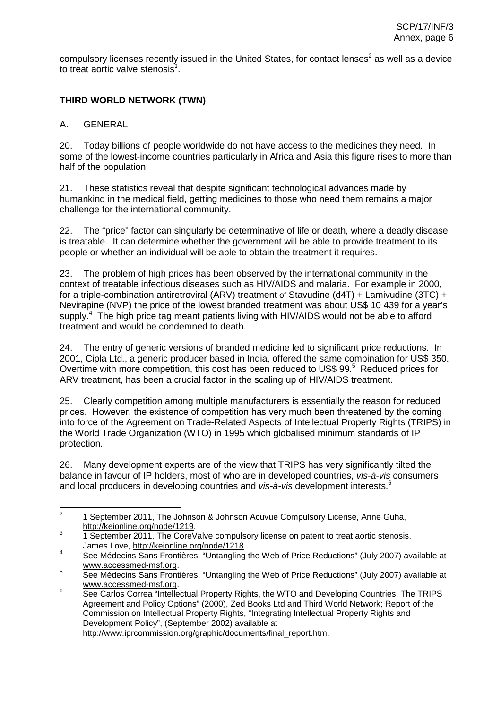compulsory licenses recently issued in the United States, for contact lenses<sup>2</sup> as well as a device to treat aortic valve stenosis<sup>3</sup>.

## **THIRD WORLD NETWORK (TWN)**

### A. GENERAL

20. Today billions of people worldwide do not have access to the medicines they need. In some of the lowest-income countries particularly in Africa and Asia this figure rises to more than half of the population.

21. These statistics reveal that despite significant technological advances made by humankind in the medical field, getting medicines to those who need them remains a major challenge for the international community.

22. The "price" factor can singularly be determinative of life or death, where a deadly disease is treatable. It can determine whether the government will be able to provide treatment to its people or whether an individual will be able to obtain the treatment it requires.

23. The problem of high prices has been observed by the international community in the context of treatable infectious diseases such as HIV/AIDS and malaria. For example in 2000, for a triple-combination antiretroviral (ARV) treatment of Stavudine (d4T) + Lamivudine (3TC) + Nevirapine (NVP) the price of the lowest branded treatment was about US\$ 10 439 for a year's supply.<sup>4</sup> The high price tag meant patients living with HIV/AIDS would not be able to afford treatment and would be condemned to death.

24. The entry of generic versions of branded medicine led to significant price reductions. In 2001, Cipla Ltd., a generic producer based in India, offered the same combination for US\$ 350. Overtime with more competition, this cost has been reduced to US\$ 99.<sup>5</sup> Reduced prices for ARV treatment, has been a crucial factor in the scaling up of HIV/AIDS treatment.

25. Clearly competition among multiple manufacturers is essentially the reason for reduced prices. However, the existence of competition has very much been threatened by the coming into force of the Agreement on Trade-Related Aspects of Intellectual Property Rights (TRIPS) in the World Trade Organization (WTO) in 1995 which globalised minimum standards of IP protection.

26. Many development experts are of the view that TRIPS has very significantly tilted the balance in favour of IP holders, most of who are in developed countries, vis-à-vis consumers and local producers in developing countries and vis-à-vis development interests.<sup>6</sup>

<sup>&</sup>lt;sup>2</sup> 1 September 2011, The Johnson & Johnson Acuvue Compulsory License, Anne Guha,

http://keionline.org/node/1219.<br>1 September 2011, The CoreValve compulsory license on patent to treat aortic stenosis,<br>James Love, http://keionline.org/node/1218.

<sup>&</sup>lt;sup>4</sup> See Médecins Sans Frontières, "Untangling the Web of Price Reductions" (July 2007) available at www.accessmed-msf.org.<br>
<sup>5</sup> See Médecins Sans Frontières, "Untangling the Web of Price Reductions" (July 2007) available at

www.accessmed-msf.org.<br>
<sup>6</sup> See Carlos Correa "Intellectual Property Rights, the WTO and Developing Countries, The TRIPS

Agreement and Policy Options" (2000), Zed Books Ltd and Third World Network; Report of the Commission on Intellectual Property Rights, "Integrating Intellectual Property Rights and Development Policy", (September 2002) available at http://www.iprcommission.org/graphic/documents/final\_report.htm.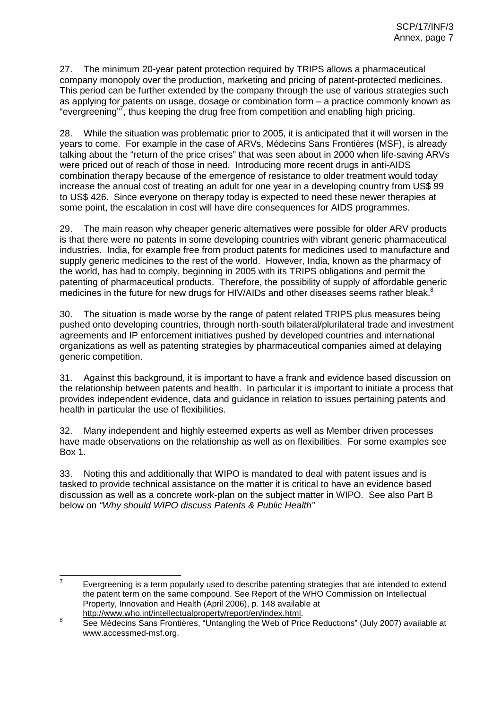27. The minimum 20-year patent protection required by TRIPS allows a pharmaceutical company monopoly over the production, marketing and pricing of patent-protected medicines. This period can be further extended by the company through the use of various strategies such as applying for patents on usage, dosage or combination form – a practice commonly known as "evergreening"<sup>7</sup>, thus keeping the drug free from competition and enabling high pricing.

28. While the situation was problematic prior to 2005, it is anticipated that it will worsen in the years to come. For example in the case of ARVs, Médecins Sans Frontières (MSF), is already talking about the "return of the price crises" that was seen about in 2000 when life-saving ARVs were priced out of reach of those in need. Introducing more recent drugs in anti-AIDS combination therapy because of the emergence of resistance to older treatment would today increase the annual cost of treating an adult for one year in a developing country from US\$ 99 to US\$ 426. Since everyone on therapy today is expected to need these newer therapies at some point, the escalation in cost will have dire consequences for AIDS programmes.

29. The main reason why cheaper generic alternatives were possible for older ARV products is that there were no patents in some developing countries with vibrant generic pharmaceutical industries. India, for example free from product patents for medicines used to manufacture and supply generic medicines to the rest of the world. However, India, known as the pharmacy of the world, has had to comply, beginning in 2005 with its TRIPS obligations and permit the patenting of pharmaceutical products. Therefore, the possibility of supply of affordable generic medicines in the future for new drugs for HIV/AIDs and other diseases seems rather bleak.<sup>8</sup>

30. The situation is made worse by the range of patent related TRIPS plus measures being pushed onto developing countries, through north-south bilateral/plurilateral trade and investment agreements and IP enforcement initiatives pushed by developed countries and international organizations as well as patenting strategies by pharmaceutical companies aimed at delaying generic competition.

31. Against this background, it is important to have a frank and evidence based discussion on the relationship between patents and health. In particular it is important to initiate a process that provides independent evidence, data and guidance in relation to issues pertaining patents and health in particular the use of flexibilities.

32. Many independent and highly esteemed experts as well as Member driven processes have made observations on the relationship as well as on flexibilities. For some examples see Box 1.

33. Noting this and additionally that WIPO is mandated to deal with patent issues and is tasked to provide technical assistance on the matter it is critical to have an evidence based discussion as well as a concrete work-plan on the subject matter in WIPO. See also Part B below on "Why should WIPO discuss Patents & Public Health"

Evergreening is a term popularly used to describe patenting strategies that are intended to extend the patent term on the same compound. See Report of the WHO Commission on Intellectual Property, Innovation and Health (April 2006), p. 148 available at

http://www.who.int/intellectualproperty/report/en/index.html.<br><sup>8</sup> See Médecins Sans Frontières, "Untangling the Web of Price Reductions" (July 2007) available at www.accessmed-msf.org.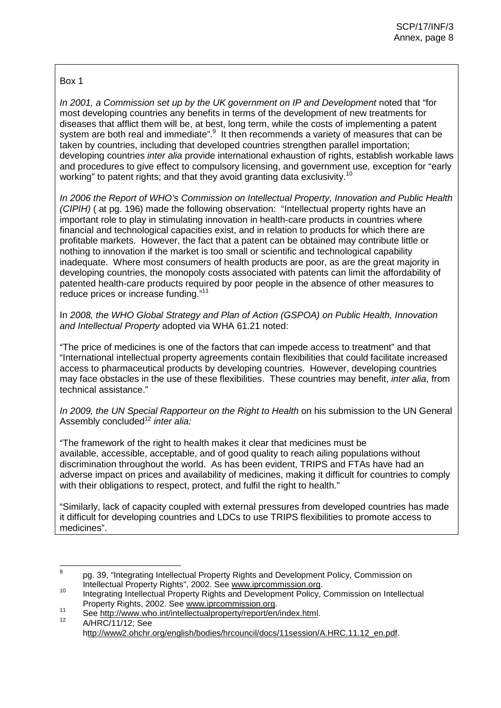## Box 1

In 2001, a Commission set up by the UK government on IP and Development noted that "for most developing countries any benefits in terms of the development of new treatments for diseases that afflict them will be, at best, long term, while the costs of implementing a patent system are both real and immediate".<sup>9</sup> It then recommends a variety of measures that can be taken by countries, including that developed countries strengthen parallel importation; developing countries *inter alia* provide international exhaustion of rights, establish workable laws and procedures to give effect to compulsory licensing, and government use, exception for "early working" to patent rights; and that they avoid granting data exclusivity.<sup>10</sup>

In 2006 the Report of WHO's Commission on Intellectual Property, Innovation and Public Health (CIPIH) ( at pg. 196) made the following observation: "Intellectual property rights have an important role to play in stimulating innovation in health-care products in countries where financial and technological capacities exist, and in relation to products for which there are profitable markets. However, the fact that a patent can be obtained may contribute little or nothing to innovation if the market is too small or scientific and technological capability inadequate. Where most consumers of health products are poor, as are the great majority in developing countries, the monopoly costs associated with patents can limit the affordability of patented health-care products required by poor people in the absence of other measures to reduce prices or increase funding."<sup>11</sup>

In 2008, the WHO Global Strategy and Plan of Action (GSPOA) on Public Health, Innovation and Intellectual Property adopted via WHA 61.21 noted:

"The price of medicines is one of the factors that can impede access to treatment" and that "International intellectual property agreements contain flexibilities that could facilitate increased access to pharmaceutical products by developing countries. However, developing countries may face obstacles in the use of these flexibilities. These countries may benefit, *inter alia*, from technical assistance."

In 2009, the UN Special Rapporteur on the Right to Health on his submission to the UN General Assembly concluded<sup>12</sup> inter alia:

"The framework of the right to health makes it clear that medicines must be available, accessible, acceptable, and of good quality to reach ailing populations without discrimination throughout the world. As has been evident, TRIPS and FTAs have had an adverse impact on prices and availability of medicines, making it difficult for countries to comply with their obligations to respect, protect, and fulfil the right to health."

"Similarly, lack of capacity coupled with external pressures from developed countries has made it difficult for developing countries and LDCs to use TRIPS flexibilities to promote access to medicines".

<sup>&</sup>lt;sup>9</sup> pg. 39, "Integrating Intellectual Property Rights and Development Policy, Commission on<br>Intellectual Property Rights", 2002. See www.iprcommission.org.

Intellectual Property Rights and Development Policy, Commission on Intellectual<br>Property Rights and Development Policy, Commission on Intellectual<br>Property Rights. 2002. See www.iprcommission.org.

Property Rights, 2002. See <u>Interpresentation.org.</u><br>
See http://www.who.int/intellectualproperty/report/en/index.html.<br>
A/HRC/11/12: See

http://www2.ohchr.org/english/bodies/hrcouncil/docs/11session/A.HRC.11.12\_en.pdf.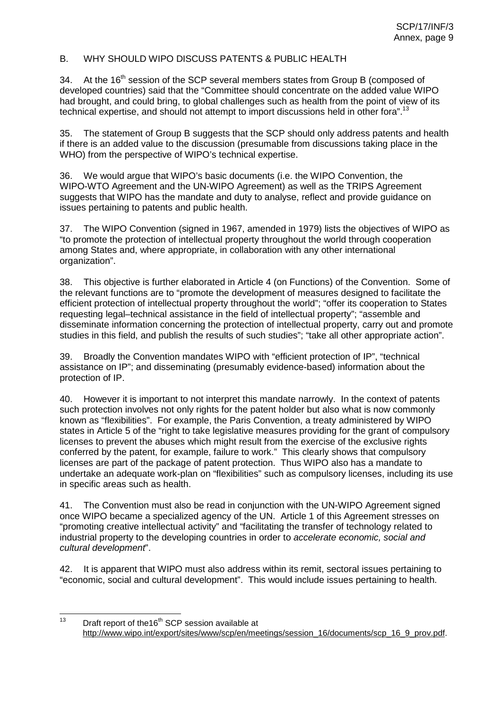#### B. WHY SHOULD WIPO DISCUSS PATENTS & PUBLIC HEALTH

34. At the 16<sup>th</sup> session of the SCP several members states from Group B (composed of developed countries) said that the "Committee should concentrate on the added value WIPO had brought, and could bring, to global challenges such as health from the point of view of its technical expertise, and should not attempt to import discussions held in other fora".<sup>13</sup>

35. The statement of Group B suggests that the SCP should only address patents and health if there is an added value to the discussion (presumable from discussions taking place in the WHO) from the perspective of WIPO's technical expertise.

36. We would argue that WIPO's basic documents (i.e. the WIPO Convention, the WIPO-WTO Agreement and the UN-WIPO Agreement) as well as the TRIPS Agreement suggests that WIPO has the mandate and duty to analyse, reflect and provide guidance on issues pertaining to patents and public health.

37. The WIPO Convention (signed in 1967, amended in 1979) lists the objectives of WIPO as "to promote the protection of intellectual property throughout the world through cooperation among States and, where appropriate, in collaboration with any other international organization".

38. This objective is further elaborated in Article 4 (on Functions) of the Convention. Some of the relevant functions are to "promote the development of measures designed to facilitate the efficient protection of intellectual property throughout the world"; "offer its cooperation to States requesting legal–technical assistance in the field of intellectual property"; "assemble and disseminate information concerning the protection of intellectual property, carry out and promote studies in this field, and publish the results of such studies"; "take all other appropriate action".

39. Broadly the Convention mandates WIPO with "efficient protection of IP", "technical assistance on IP"; and disseminating (presumably evidence-based) information about the protection of IP.

40. However it is important to not interpret this mandate narrowly. In the context of patents such protection involves not only rights for the patent holder but also what is now commonly known as "flexibilities". For example, the Paris Convention, a treaty administered by WIPO states in Article 5 of the "right to take legislative measures providing for the grant of compulsory licenses to prevent the abuses which might result from the exercise of the exclusive rights conferred by the patent, for example, failure to work." This clearly shows that compulsory licenses are part of the package of patent protection. Thus WIPO also has a mandate to undertake an adequate work-plan on "flexibilities" such as compulsory licenses, including its use in specific areas such as health.

41. The Convention must also be read in conjunction with the UN-WIPO Agreement signed once WIPO became a specialized agency of the UN. Article 1 of this Agreement stresses on "promoting creative intellectual activity" and "facilitating the transfer of technology related to industrial property to the developing countries in order to accelerate economic, social and cultural development".

42. It is apparent that WIPO must also address within its remit, sectoral issues pertaining to "economic, social and cultural development". This would include issues pertaining to health.

 $13$  Draft report of the 16<sup>th</sup> SCP session available at http://www.wipo.int/export/sites/www/scp/en/meetings/session\_16/documents/scp\_16\_9\_prov.pdf.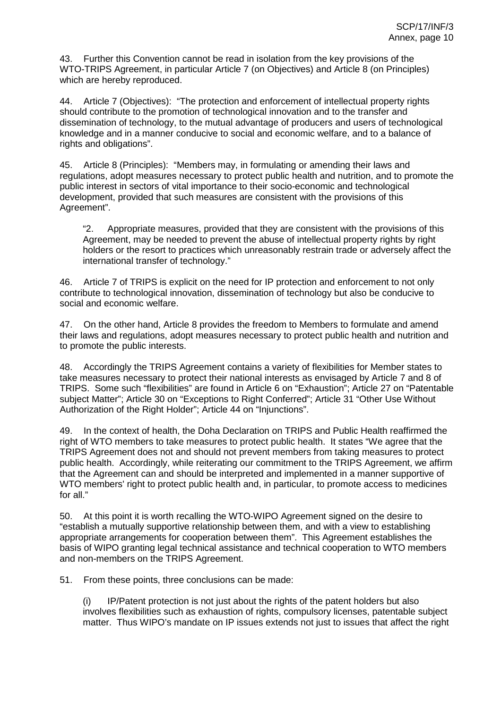43. Further this Convention cannot be read in isolation from the key provisions of the WTO-TRIPS Agreement, in particular Article 7 (on Objectives) and Article 8 (on Principles) which are hereby reproduced.

44. Article 7 (Objectives): "The protection and enforcement of intellectual property rights should contribute to the promotion of technological innovation and to the transfer and dissemination of technology, to the mutual advantage of producers and users of technological knowledge and in a manner conducive to social and economic welfare, and to a balance of rights and obligations".

45. Article 8 (Principles): "Members may, in formulating or amending their laws and regulations, adopt measures necessary to protect public health and nutrition, and to promote the public interest in sectors of vital importance to their socio-economic and technological development, provided that such measures are consistent with the provisions of this Agreement".

"2. Appropriate measures, provided that they are consistent with the provisions of this Agreement, may be needed to prevent the abuse of intellectual property rights by right holders or the resort to practices which unreasonably restrain trade or adversely affect the international transfer of technology."

46. Article 7 of TRIPS is explicit on the need for IP protection and enforcement to not only contribute to technological innovation, dissemination of technology but also be conducive to social and economic welfare.

47. On the other hand, Article 8 provides the freedom to Members to formulate and amend their laws and regulations, adopt measures necessary to protect public health and nutrition and to promote the public interests.

48. Accordingly the TRIPS Agreement contains a variety of flexibilities for Member states to take measures necessary to protect their national interests as envisaged by Article 7 and 8 of TRIPS. Some such "flexibilities" are found in Article 6 on "Exhaustion"; Article 27 on "Patentable subject Matter"; Article 30 on "Exceptions to Right Conferred"; Article 31 "Other Use Without Authorization of the Right Holder"; Article 44 on "Injunctions".

49. In the context of health, the Doha Declaration on TRIPS and Public Health reaffirmed the right of WTO members to take measures to protect public health. It states "We agree that the TRIPS Agreement does not and should not prevent members from taking measures to protect public health. Accordingly, while reiterating our commitment to the TRIPS Agreement, we affirm that the Agreement can and should be interpreted and implemented in a manner supportive of WTO members' right to protect public health and, in particular, to promote access to medicines for all."

50. At this point it is worth recalling the WTO-WIPO Agreement signed on the desire to "establish a mutually supportive relationship between them, and with a view to establishing appropriate arrangements for cooperation between them". This Agreement establishes the basis of WIPO granting legal technical assistance and technical cooperation to WTO members and non-members on the TRIPS Agreement.

51. From these points, three conclusions can be made:

IP/Patent protection is not just about the rights of the patent holders but also involves flexibilities such as exhaustion of rights, compulsory licenses, patentable subject matter. Thus WIPO's mandate on IP issues extends not just to issues that affect the right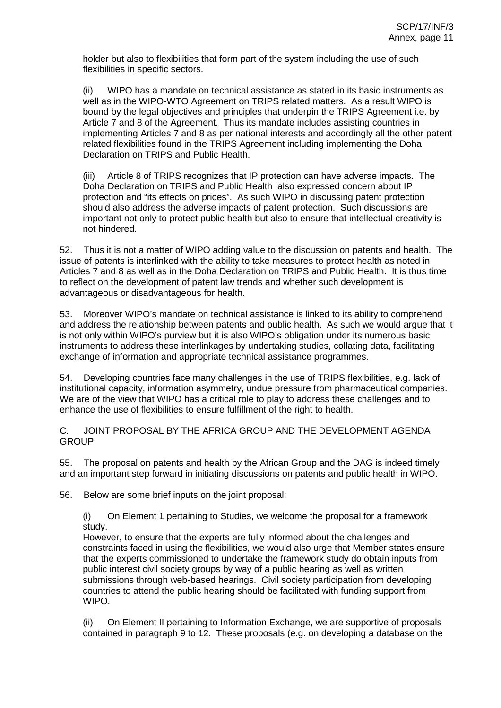holder but also to flexibilities that form part of the system including the use of such flexibilities in specific sectors.

(ii) WIPO has a mandate on technical assistance as stated in its basic instruments as well as in the WIPO-WTO Agreement on TRIPS related matters. As a result WIPO is bound by the legal objectives and principles that underpin the TRIPS Agreement i.e. by Article 7 and 8 of the Agreement. Thus its mandate includes assisting countries in implementing Articles 7 and 8 as per national interests and accordingly all the other patent related flexibilities found in the TRIPS Agreement including implementing the Doha Declaration on TRIPS and Public Health.

(iii) Article 8 of TRIPS recognizes that IP protection can have adverse impacts. The Doha Declaration on TRIPS and Public Health also expressed concern about IP protection and "its effects on prices". As such WIPO in discussing patent protection should also address the adverse impacts of patent protection. Such discussions are important not only to protect public health but also to ensure that intellectual creativity is not hindered.

52. Thus it is not a matter of WIPO adding value to the discussion on patents and health. The issue of patents is interlinked with the ability to take measures to protect health as noted in Articles 7 and 8 as well as in the Doha Declaration on TRIPS and Public Health. It is thus time to reflect on the development of patent law trends and whether such development is advantageous or disadvantageous for health.

53. Moreover WIPO's mandate on technical assistance is linked to its ability to comprehend and address the relationship between patents and public health. As such we would argue that it is not only within WIPO's purview but it is also WIPO's obligation under its numerous basic instruments to address these interlinkages by undertaking studies, collating data, facilitating exchange of information and appropriate technical assistance programmes.

54. Developing countries face many challenges in the use of TRIPS flexibilities, e.g. lack of institutional capacity, information asymmetry, undue pressure from pharmaceutical companies. We are of the view that WIPO has a critical role to play to address these challenges and to enhance the use of flexibilities to ensure fulfillment of the right to health.

C. JOINT PROPOSAL BY THE AFRICA GROUP AND THE DEVELOPMENT AGENDA **GROUP** 

55. The proposal on patents and health by the African Group and the DAG is indeed timely and an important step forward in initiating discussions on patents and public health in WIPO.

56. Below are some brief inputs on the joint proposal:

(i) On Element 1 pertaining to Studies, we welcome the proposal for a framework study.

However, to ensure that the experts are fully informed about the challenges and constraints faced in using the flexibilities, we would also urge that Member states ensure that the experts commissioned to undertake the framework study do obtain inputs from public interest civil society groups by way of a public hearing as well as written submissions through web-based hearings. Civil society participation from developing countries to attend the public hearing should be facilitated with funding support from WIPO.

(ii) On Element II pertaining to Information Exchange, we are supportive of proposals contained in paragraph 9 to 12. These proposals (e.g. on developing a database on the